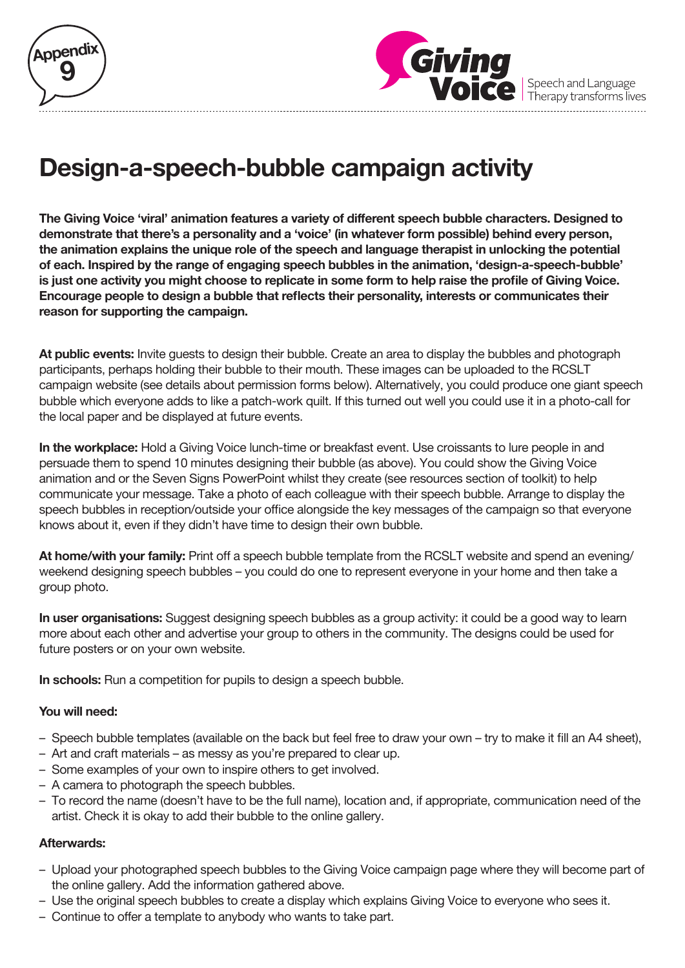



Speech and Language<br>Therapy transforms lives

## **Design-a-speech-bubble campaign activity**

**The Giving Voice 'viral' animation features a variety of different speech bubble characters. Designed to demonstrate that there's a personality and a 'voice' (in whatever form possible) behind every person, the animation explains the unique role of the speech and language therapist in unlocking the potential of each. Inspired by the range of engaging speech bubbles in the animation, 'design-a-speech-bubble' is just one activity you might choose to replicate in some form to help raise the profile of Giving Voice. Encourage people to design a bubble that reflects their personality, interests or communicates their reason for supporting the campaign.**

**At public events:** Invite guests to design their bubble. Create an area to display the bubbles and photograph participants, perhaps holding their bubble to their mouth. These images can be uploaded to the RCSLT campaign website (see details about permission forms below). Alternatively, you could produce one giant speech bubble which everyone adds to like a patch-work quilt. If this turned out well you could use it in a photo-call for the local paper and be displayed at future events.

**In the workplace:** Hold a Giving Voice lunch-time or breakfast event. Use croissants to lure people in and persuade them to spend 10 minutes designing their bubble (as above). You could show the Giving Voice animation and or the Seven Signs PowerPoint whilst they create (see resources section of toolkit) to help communicate your message. Take a photo of each colleague with their speech bubble. Arrange to display the speech bubbles in reception/outside your office alongside the key messages of the campaign so that everyone knows about it, even if they didn't have time to design their own bubble.

**At home/with your family:** Print off a speech bubble template from the RCSLT website and spend an evening/ weekend designing speech bubbles – you could do one to represent everyone in your home and then take a group photo.

**In user organisations:** Suggest designing speech bubbles as a group activity: it could be a good way to learn more about each other and advertise your group to others in the community. The designs could be used for future posters or on your own website.

**In schools:** Run a competition for pupils to design a speech bubble.

## **You will need:**

- Speech bubble templates (available on the back but feel free to draw your own try to make it fill an A4 sheet),
- Art and craft materials as messy as you're prepared to clear up.
- Some examples of your own to inspire others to get involved.
- A camera to photograph the speech bubbles.
- To record the name (doesn't have to be the full name), location and, if appropriate, communication need of the artist. Check it is okay to add their bubble to the online gallery.

## **Afterwards:**

- Upload your photographed speech bubbles to the Giving Voice campaign page where they will become part of the online gallery. Add the information gathered above.
- Use the original speech bubbles to create a display which explains Giving Voice to everyone who sees it.
- Continue to offer a template to anybody who wants to take part.